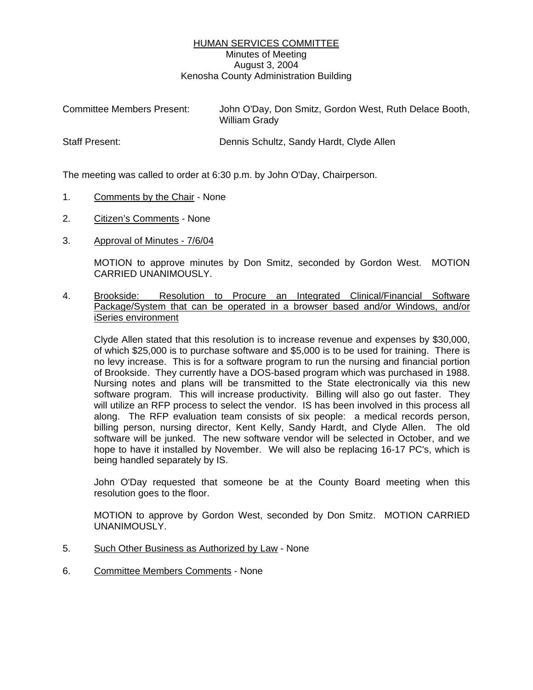## HUMAN SERVICES COMMITTEE Minutes of Meeting August 3, 2004 Kenosha County Administration Building

| <b>Committee Members Present:</b> | John O'Day, Don Smitz, Gordon West, Ruth Delace Booth,<br><b>William Grady</b> |
|-----------------------------------|--------------------------------------------------------------------------------|
| <b>Staff Present:</b>             | Dennis Schultz, Sandy Hardt, Clyde Allen                                       |

The meeting was called to order at 6:30 p.m. by John O'Day, Chairperson.

- 1. Comments by the Chair None
- 2. Citizen's Comments None
- 3. Approval of Minutes 7/6/04

MOTION to approve minutes by Don Smitz, seconded by Gordon West. MOTION CARRIED UNANIMOUSLY.

4. Brookside: Resolution to Procure an Integrated Clinical/Financial Software Package/System that can be operated in a browser based and/or Windows, and/or iSeries environment

Clyde Allen stated that this resolution is to increase revenue and expenses by \$30,000, of which \$25,000 is to purchase software and \$5,000 is to be used for training. There is no levy increase. This is for a software program to run the nursing and financial portion of Brookside. They currently have a DOS-based program which was purchased in 1988. Nursing notes and plans will be transmitted to the State electronically via this new software program. This will increase productivity. Billing will also go out faster. They will utilize an RFP process to select the vendor. IS has been involved in this process all along. The RFP evaluation team consists of six people: a medical records person, billing person, nursing director, Kent Kelly, Sandy Hardt, and Clyde Allen. The old software will be junked. The new software vendor will be selected in October, and we hope to have it installed by November. We will also be replacing 16-17 PC's, which is being handled separately by IS.

John O'Day requested that someone be at the County Board meeting when this resolution goes to the floor.

MOTION to approve by Gordon West, seconded by Don Smitz. MOTION CARRIED UNANIMOUSLY.

- 5. Such Other Business as Authorized by Law None
- 6. Committee Members Comments None